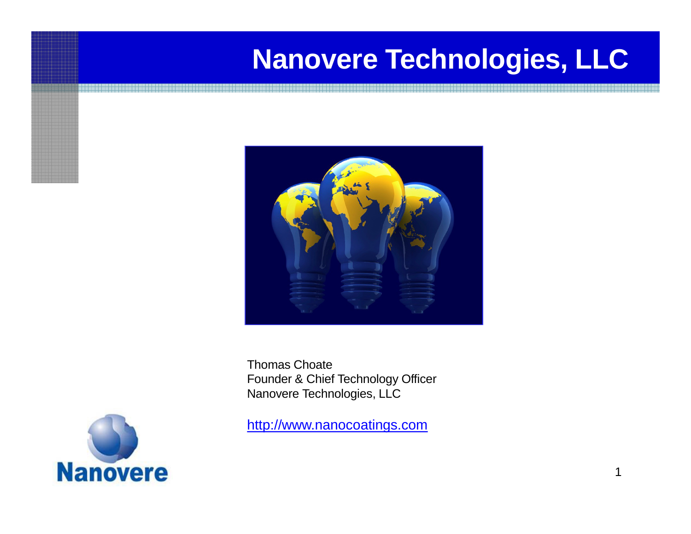## **Nanovere Technologies, LLC**



Thomas Choate Founder & Chief Technology Officer Nanovere Technologies, LLC



[http://www.nanocoatings.com](http://www.nanocoatings.com/)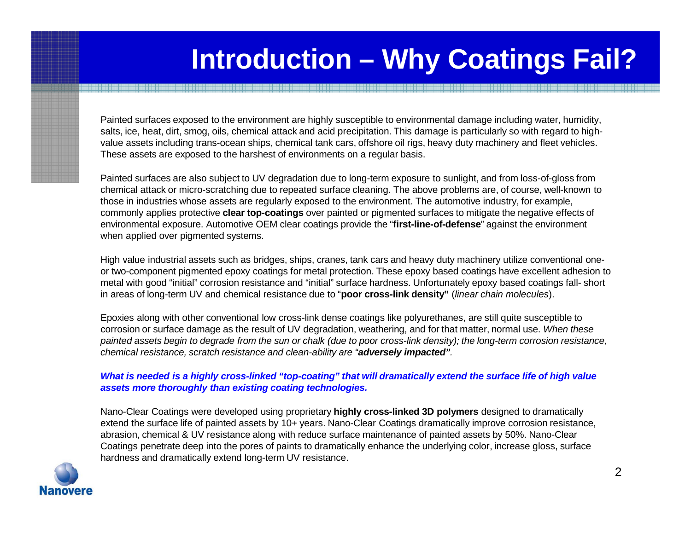### **Introduction – Why Coatings Fail?**

Painted surfaces exposed to the environment are highly susceptible to environmental damage including water, humidity, salts, ice, heat, dirt, smog, oils, chemical attack and acid precipitation. This damage is particularly so with regard to highvalue assets including trans-ocean ships, chemical tank cars, offshore oil rigs, heavy duty machinery and fleet vehicles. These assets are exposed to the harshest of environments on a regular basis.

Painted surfaces are also subject to UV degradation due to long-term exposure to sunlight, and from loss-of-gloss from chemical attack or micro-scratching due to repeated surface cleaning. The above problems are, of course, well-known to those in industries whose assets are regularly exposed to the environment. The automotive industry, for example, commonly applies protective **clear top-coatings** over painted or pigmented surfaces to mitigate the negative effects of environmental exposure. Automotive OEM clear coatings provide the "**first-line-of-defense**" against the environment when applied over pigmented systems.

High value industrial assets such as bridges, ships, cranes, tank cars and heavy duty machinery utilize conventional oneor two-component pigmented epoxy coatings for metal protection. These epoxy based coatings have excellent adhesion to metal with good "initial" corrosion resistance and "initial" surface hardness. Unfortunately epoxy based coatings fall- short in areas of long-term UV and chemical resistance due to "**poor cross-link density"** (*linear chain molecules*).

Epoxies along with other conventional low cross-link dense coatings like polyurethanes, are still quite susceptible to corrosion or surface damage as the result of UV degradation, weathering, and for that matter, normal use. *When these* painted assets begin to degrade from the sun or chalk (due to poor cross-link density); the long-term corrosion resistance, *chemical resistance, scratch resistance and clean-ability are "adversely impacted".*

#### What is needed is a highly cross-linked "top-coating" that will dramatically extend the surface life of high value *assets more thoroughly than existing coating technologies.*

Nano-Clear Coatings were developed using proprietary **highly cross-linked 3D polymers** designed to dramatically extend the surface life of painted assets by 10+ years. Nano-Clear Coatings dramatically improve corrosion resistance, abrasion, chemical & UV resistance along with reduce surface maintenance of painted assets by 50%. Nano-Clear Coatings penetrate deep into the pores of paints to dramatically enhance the underlying color, increase gloss, surface hardness and dramatically extend long-term UV resistance.

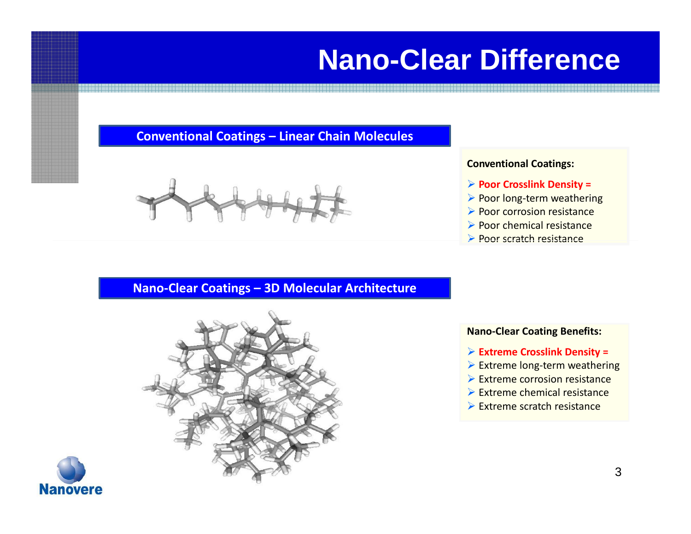## **Nano-Clear Difference**

#### **Conventional Coatings – Linear Chain Molecules**



#### **Conventional Coatings:**

- **Poor Crosslink Density =**
- ▶ Poor long-term weathering
- $\triangleright$  Poor corrosion resistance
- $\triangleright$  Poor chemical resistance
- **Poor scratch resistance**

#### **Nano-Clear Coatings – 3D Molecular Architecture**





#### **Nano‐Clear Coating Benefits:**

- **Extreme Crosslink Density =**
- ▶ Extreme long-term weathering
- $\triangleright$  Extreme corrosion resistance
- $\triangleright$  Extreme chemical resistance
- $\triangleright$  Extreme scratch resistance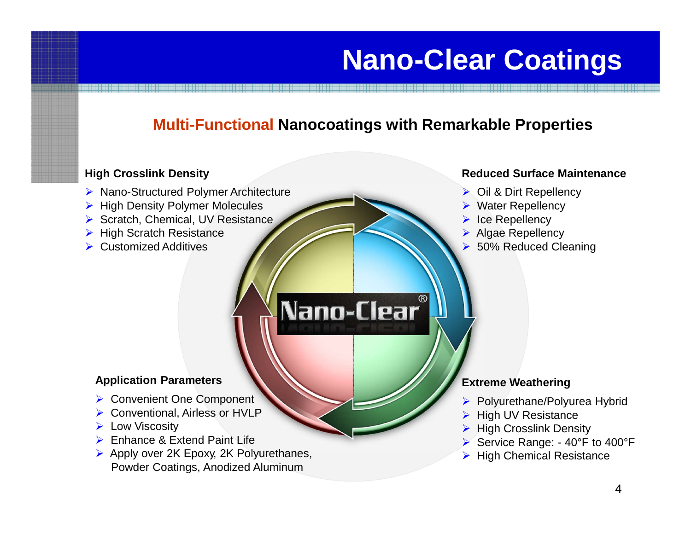## **Nano-Clear Coatings**

### **Multi-Functional Nanocoatings with Remarkable Properties**

#### **High Crosslink Density**

- ▶ Nano-Structured Polymer Architecture
- $\triangleright$  High Density Polymer Molecules
- $\triangleright$  Scratch, Chemical, UV Resistance
- $\triangleright$  High Scratch Resistance
- $\triangleright$  Customized Additives

# Nano-Clear®

#### **Reduced Surface Maintenance**

- ▶ Oil & Dirt Repellency
- Water Repellency
- Ice Repellency
- Algae Repellency
- 50% Reduced Cleaning

#### **Application Parameters**

- ▶ Convenient One Component
- Conventional, Airless or HVLP
- **Low Viscosity**
- Enhance & Extend Paint Life
- ▶ Apply over 2K Epoxy, 2K Polyurethanes, Powder Coatings, Anodized Aluminum

#### **Extreme Weathering**

- ▶ Polyurethane/Polyurea Hybrid
- $\triangleright$  High UV Resistance
- $\triangleright$  High Crosslink Density
- Service Range: 40°F to 400°F
- High Chemical Resistance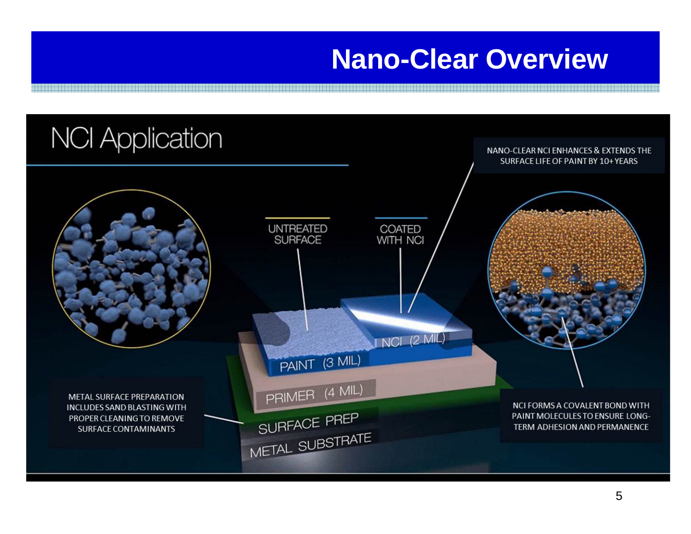### **Nano-Clear Overview**

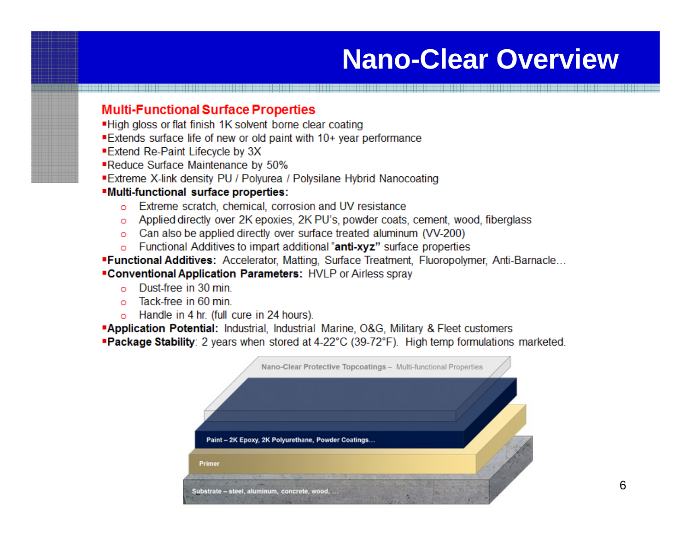### **Nano-Clear Overview**

#### **Multi-Functional Surface Properties**

- "High gloss or flat finish 1K solvent borne clear coating
- Extends surface life of new or old paint with 10+ year performance
- Extend Re-Paint Lifecycle by 3X
- ■Reduce Surface Maintenance by 50%
- Extreme X-link density PU / Polyurea / Polysilane Hybrid Nanocoating

#### **"Multi-functional surface properties:**

- o Extreme scratch, chemical, corrosion and UV resistance
- o Applied directly over 2K epoxies, 2K PU's, powder coats, cement, wood, fiberglass
- o Can also be applied directly over surface treated aluminum (VV-200)
- o Functional Additives to impart additional "anti-xyz" surface properties
- "Functional Additives: Accelerator, Matting, Surface Treatment, Fluoropolymer, Anti-Barnacle... "Conventional Application Parameters: HVLP or Airless spray
	- Dust-free in 30 min  $\sim$
	- $\circ$  Tack-free in 60 min
	- o Handle in 4 hr. (full cure in 24 hours).

**Application Potential:** Industrial, Industrial Marine, O&G, Military & Fleet customers **Package Stability**: 2 years when stored at 4-22°C (39-72°F). High temp formulations marketed.

| Paint - 2K Epoxy, 2K Polyurethane, Powder Coatings |  |
|----------------------------------------------------|--|
|                                                    |  |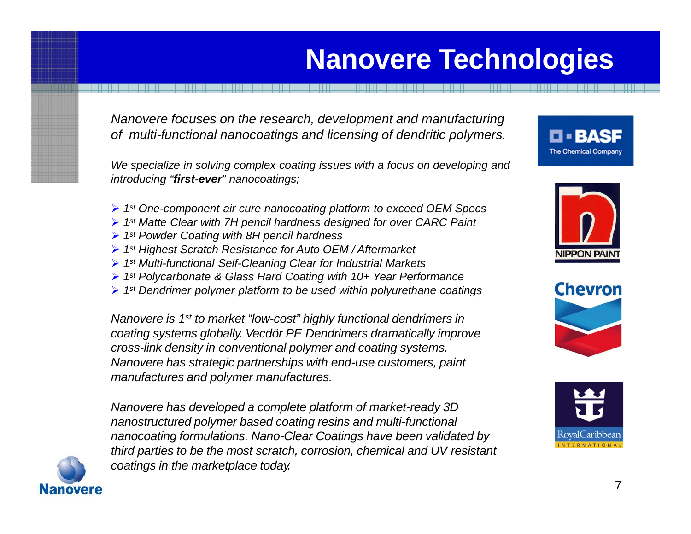## **Nanovere Technologies**

*Nanovere focuses on the research, development and manufacturing of multi-functional nanocoatings and licensing of dendritic polymers.*

*We specialize in solving complex coating issues with a focus on developing and introducing "first-ever" nanocoatings;*

- *1st One-component air cure nanocoating platform to exceed OEM Specs*
- *1st Matte Clear with 7H pencil hardness designed for over CARC Paint*
- *1st Powder Coating with 8H pencil hardness*
- *1st Highest Scratch Resistance for Auto OEM / Aftermarket*
- *1st Multi-functional Self-Cleaning Clear for Industrial Markets*
- *1st Polycarbonate & Glass Hard Coating with 10+ Year Performance*
- *1st Dendrimer polymer platform to be used within polyurethane coatings*

*Nanovere is 1st to market "low-cost" highly functional dendrimers in coating systems globally. Vecdör PE Dendrimers dramatically improve cross-link density in conventional polymer and coating systems. Nanovere has strategic partnerships with end-use customers, paint manufactures and polymer manufactures.*

*Nanovere has developed a complete platform of market-ready 3D nanostructured polymer based coating resins and multi-functional nanocoating formulations. Nano-Clear Coatings have been validated by third parties to be the most scratch, corrosion, chemical and UV resistant coatings in the marketplace today.*









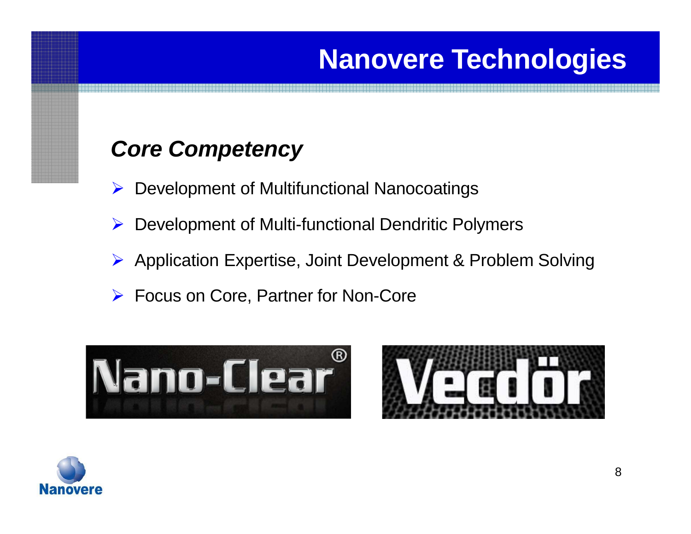## **Nanovere Technologies**

### *Core Competency*

- **▶ Development of Multifunctional Nanocoatings**
- **▶ Development of Multi-functional Dendritic Polymers**
- Application Expertise, Joint Development & Problem Solving
- Focus on Core, Partner for Non-Core





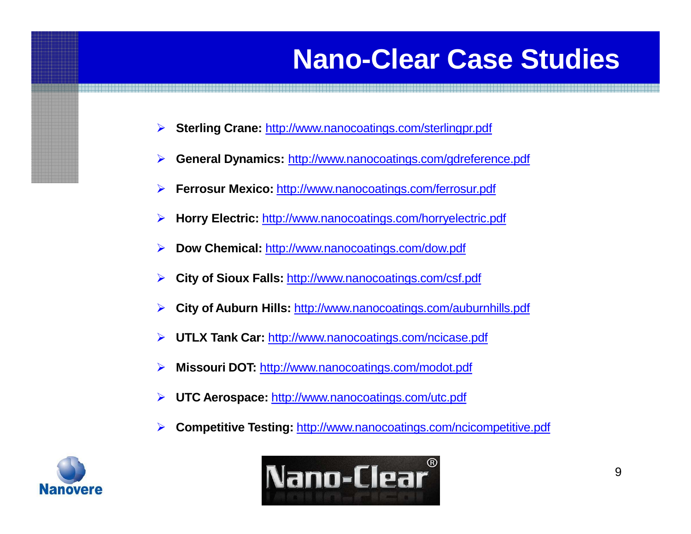## **Nano-Clear Case Studies**

- **Sterling Crane:** <http://www.nanocoatings.com/sterlingpr.pdf>
- **General Dynamics:** <http://www.nanocoatings.com/gdreference.pdf>
- **Ferrosur Mexico:** <http://www.nanocoatings.com/ferrosur.pdf>
- **Horry Electric:** <http://www.nanocoatings.com/horryelectric.pdf>
- **Dow Chemical:** <http://www.nanocoatings.com/dow.pdf>
- **City of Sioux Falls:** <http://www.nanocoatings.com/csf.pdf>
- **City of Auburn Hills:** <http://www.nanocoatings.com/auburnhills.pdf>
- **UTLX Tank Car:** <http://www.nanocoatings.com/ncicase.pdf>
- **Missouri DOT:** <http://www.nanocoatings.com/modot.pdf>
- **UTC Aerospace:** <http://www.nanocoatings.com/utc.pdf>
- **Competitive Testing:** <http://www.nanocoatings.com/ncicompetitive.pdf>



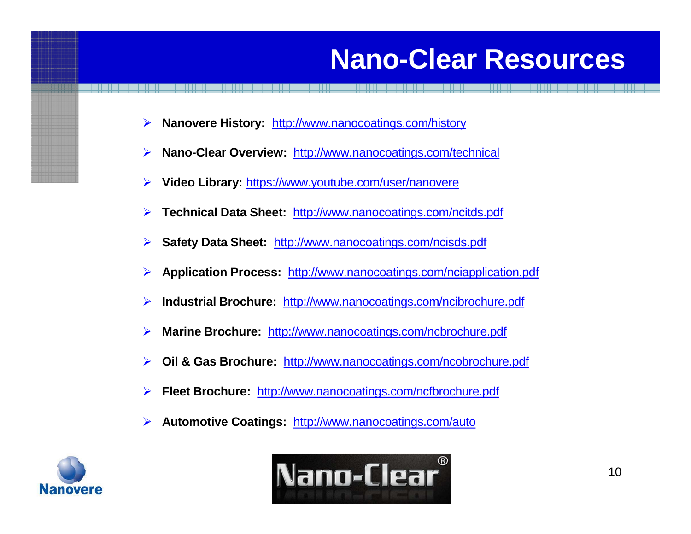### **Nano-Clear Resources**

- **Nanovere History:** <http://www.nanocoatings.com/history>
- **Nano-Clear Overview:** <http://www.nanocoatings.com/technical>
- **Video Library:** [https://www.youtube.com/user/nanovere](http://www.youtube.com/user/nanovere)
- **Technical Data Sheet:** <http://www.nanocoatings.com/ncitds.pdf>
- **Safety Data Sheet:** <http://www.nanocoatings.com/ncisds.pdf>
- **Application Process:** <http://www.nanocoatings.com/nciapplication.pdf>
- **Industrial Brochure:** <http://www.nanocoatings.com/ncibrochure.pdf>
- **Marine Brochure:** <http://www.nanocoatings.com/ncbrochure.pdf>
- **Oil & Gas Brochure:** <http://www.nanocoatings.com/ncobrochure.pdf>
- **Fleet Brochure:** <http://www.nanocoatings.com/ncfbrochure.pdf>
- **Automotive Coatings:** <http://www.nanocoatings.com/auto>